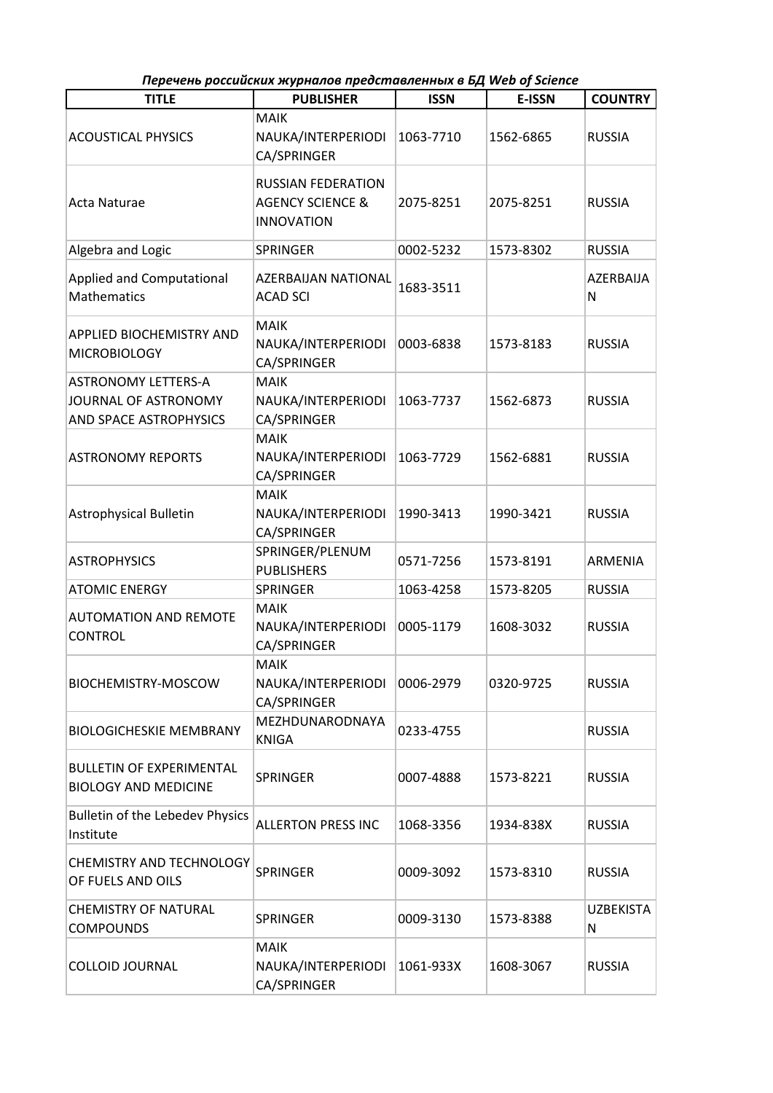|  | Перечень российских журналов представленных в БД Web of Science |
|--|-----------------------------------------------------------------|
|--|-----------------------------------------------------------------|

| <b>TITLE</b>                                                                 | <b>PUBLISHER</b>                                                              | <b>ISSN</b> | E-ISSN    | <b>COUNTRY</b>        |
|------------------------------------------------------------------------------|-------------------------------------------------------------------------------|-------------|-----------|-----------------------|
| <b>ACOUSTICAL PHYSICS</b>                                                    | <b>MAIK</b><br>NAUKA/INTERPERIODI<br>CA/SPRINGER                              | 1063-7710   | 1562-6865 | <b>RUSSIA</b>         |
| Acta Naturae                                                                 | <b>RUSSIAN FEDERATION</b><br><b>AGENCY SCIENCE &amp;</b><br><b>INNOVATION</b> | 2075-8251   | 2075-8251 | <b>RUSSIA</b>         |
| Algebra and Logic                                                            | <b>SPRINGER</b>                                                               | 0002-5232   | 1573-8302 | <b>RUSSIA</b>         |
| <b>Applied and Computational</b><br>Mathematics                              | <b>AZERBAIJAN NATIONAL</b><br><b>ACAD SCI</b>                                 | 1683-3511   |           | AZERBAIJA<br>N        |
| <b>APPLIED BIOCHEMISTRY AND</b><br><b>MICROBIOLOGY</b>                       | <b>MAIK</b><br>NAUKA/INTERPERIODI<br>CA/SPRINGER                              | 0003-6838   | 1573-8183 | <b>RUSSIA</b>         |
| <b>ASTRONOMY LETTERS-A</b><br>JOURNAL OF ASTRONOMY<br>AND SPACE ASTROPHYSICS | <b>MAIK</b><br>NAUKA/INTERPERIODI<br>CA/SPRINGER                              | 1063-7737   | 1562-6873 | <b>RUSSIA</b>         |
| <b>ASTRONOMY REPORTS</b>                                                     | <b>MAIK</b><br>NAUKA/INTERPERIODI<br>CA/SPRINGER                              | 1063-7729   | 1562-6881 | <b>RUSSIA</b>         |
| <b>Astrophysical Bulletin</b>                                                | <b>MAIK</b><br>NAUKA/INTERPERIODI<br>CA/SPRINGER                              | 1990-3413   | 1990-3421 | <b>RUSSIA</b>         |
| <b>ASTROPHYSICS</b>                                                          | SPRINGER/PLENUM<br><b>PUBLISHERS</b>                                          | 0571-7256   | 1573-8191 | ARMENIA               |
| <b>ATOMIC ENERGY</b>                                                         | <b>SPRINGER</b>                                                               | 1063-4258   | 1573-8205 | <b>RUSSIA</b>         |
| <b>AUTOMATION AND REMOTE</b><br><b>CONTROL</b>                               | <b>MAIK</b><br>NAUKA/INTERPERIODI<br>CA/SPRINGER                              | 0005-1179   | 1608-3032 | <b>RUSSIA</b>         |
| BIOCHEMISTRY-MOSCOW                                                          | MAIK<br>NAUKA/INTERPERIODI<br>CA/SPRINGER                                     | 0006-2979   | 0320-9725 | <b>RUSSIA</b>         |
| <b>BIOLOGICHESKIE MEMBRANY</b>                                               | MEZHDUNARODNAYA<br><b>KNIGA</b>                                               | 0233-4755   |           | <b>RUSSIA</b>         |
| <b>BULLETIN OF EXPERIMENTAL</b><br><b>BIOLOGY AND MEDICINE</b>               | <b>SPRINGER</b>                                                               | 0007-4888   | 1573-8221 | <b>RUSSIA</b>         |
| Bulletin of the Lebedev Physics<br>Institute                                 | <b>ALLERTON PRESS INC</b>                                                     | 1068-3356   | 1934-838X | <b>RUSSIA</b>         |
| <b>CHEMISTRY AND TECHNOLOGY</b><br>OF FUELS AND OILS                         | <b>SPRINGER</b>                                                               | 0009-3092   | 1573-8310 | <b>RUSSIA</b>         |
| <b>CHEMISTRY OF NATURAL</b><br><b>COMPOUNDS</b>                              | <b>SPRINGER</b>                                                               | 0009-3130   | 1573-8388 | <b>UZBEKISTA</b><br>N |
| <b>COLLOID JOURNAL</b>                                                       | <b>MAIK</b><br>NAUKA/INTERPERIODI<br>CA/SPRINGER                              | 1061-933X   | 1608-3067 | <b>RUSSIA</b>         |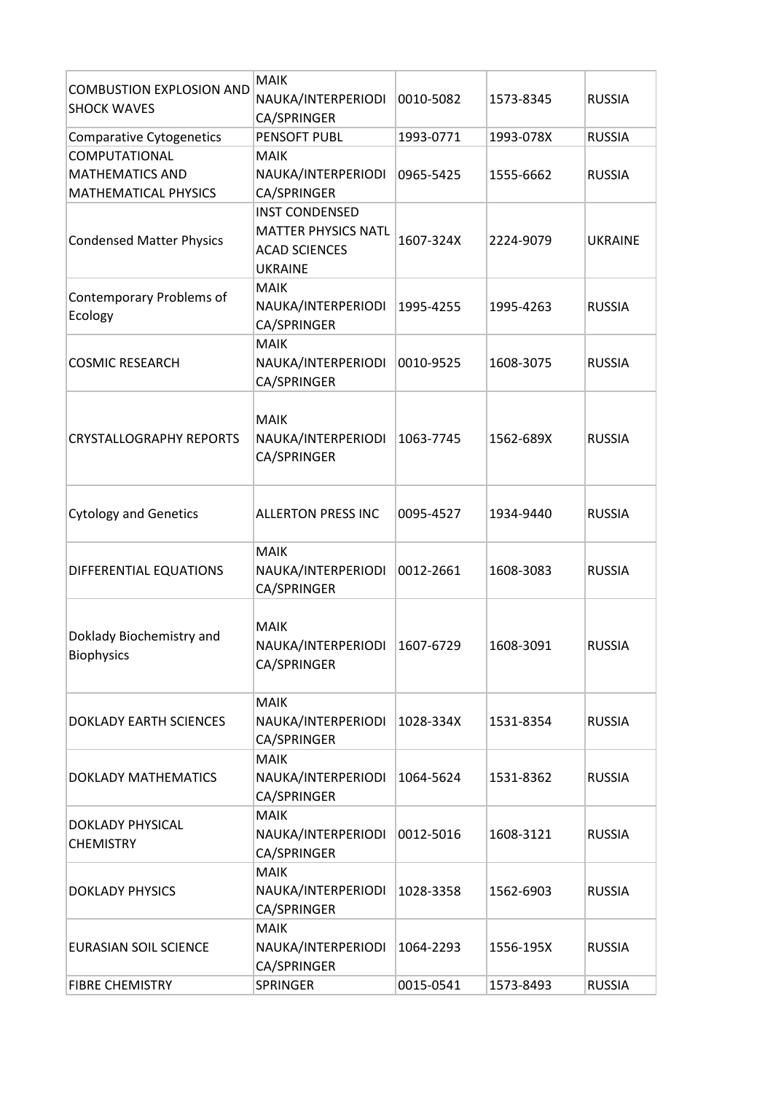|                                 | <b>MAIK</b>                |           |           |                |
|---------------------------------|----------------------------|-----------|-----------|----------------|
| <b>COMBUSTION EXPLOSION AND</b> | NAUKA/INTERPERIODI         | 0010-5082 | 1573-8345 | <b>RUSSIA</b>  |
| <b>SHOCK WAVES</b>              | CA/SPRINGER                |           |           |                |
| <b>Comparative Cytogenetics</b> | PENSOFT PUBL               | 1993-0771 | 1993-078X | <b>RUSSIA</b>  |
| <b>COMPUTATIONAL</b>            | <b>MAIK</b>                |           |           |                |
| <b>MATHEMATICS AND</b>          | NAUKA/INTERPERIODI         | 0965-5425 | 1555-6662 | <b>RUSSIA</b>  |
|                                 |                            |           |           |                |
| <b>MATHEMATICAL PHYSICS</b>     | CA/SPRINGER                |           |           |                |
|                                 | <b>INST CONDENSED</b>      |           |           |                |
| <b>Condensed Matter Physics</b> | <b>MATTER PHYSICS NATL</b> | 1607-324X | 2224-9079 | <b>UKRAINE</b> |
|                                 | <b>ACAD SCIENCES</b>       |           |           |                |
|                                 | <b>UKRAINE</b>             |           |           |                |
|                                 | <b>MAIK</b>                |           |           |                |
| <b>Contemporary Problems of</b> | NAUKA/INTERPERIODI         | 1995-4255 | 1995-4263 | <b>RUSSIA</b>  |
| Ecology                         | CA/SPRINGER                |           |           |                |
|                                 | <b>MAIK</b>                |           |           |                |
| <b>COSMIC RESEARCH</b>          | NAUKA/INTERPERIODI         | 0010-9525 | 1608-3075 | <b>RUSSIA</b>  |
|                                 | CA/SPRINGER                |           |           |                |
|                                 |                            |           |           |                |
|                                 |                            |           |           |                |
|                                 | <b>MAIK</b>                |           |           |                |
| <b>CRYSTALLOGRAPHY REPORTS</b>  | NAUKA/INTERPERIODI         | 1063-7745 | 1562-689X | <b>RUSSIA</b>  |
|                                 | CA/SPRINGER                |           |           |                |
|                                 |                            |           |           |                |
|                                 |                            |           |           |                |
| <b>Cytology and Genetics</b>    | <b>ALLERTON PRESS INC</b>  | 0095-4527 | 1934-9440 | <b>RUSSIA</b>  |
|                                 |                            |           |           |                |
|                                 | <b>MAIK</b>                |           |           |                |
| DIFFERENTIAL EQUATIONS          | NAUKA/INTERPERIODI         | 0012-2661 | 1608-3083 | <b>RUSSIA</b>  |
|                                 | CA/SPRINGER                |           |           |                |
|                                 |                            |           |           |                |
|                                 | <b>MAIK</b>                |           |           |                |
| Doklady Biochemistry and        | NAUKA/INTERPERIODI         | 1607-6729 | 1608-3091 | <b>RUSSIA</b>  |
| <b>Biophysics</b>               | CA/SPRINGER                |           |           |                |
|                                 |                            |           |           |                |
|                                 | <b>MAIK</b>                |           |           |                |
| <b>DOKLADY EARTH SCIENCES</b>   | NAUKA/INTERPERIODI         | 1028-334X | 1531-8354 | <b>RUSSIA</b>  |
|                                 | CA/SPRINGER                |           |           |                |
|                                 | <b>MAIK</b>                |           |           |                |
|                                 |                            |           |           |                |
| <b>DOKLADY MATHEMATICS</b>      | NAUKA/INTERPERIODI         | 1064-5624 | 1531-8362 | <b>RUSSIA</b>  |
|                                 | CA/SPRINGER                |           |           |                |
| <b>DOKLADY PHYSICAL</b>         | <b>MAIK</b>                |           |           |                |
| <b>CHEMISTRY</b>                | NAUKA/INTERPERIODI         | 0012-5016 | 1608-3121 | <b>RUSSIA</b>  |
|                                 | CA/SPRINGER                |           |           |                |
|                                 | <b>MAIK</b>                |           |           |                |
| <b>DOKLADY PHYSICS</b>          | NAUKA/INTERPERIODI         | 1028-3358 | 1562-6903 | <b>RUSSIA</b>  |
|                                 | CA/SPRINGER                |           |           |                |
|                                 | <b>MAIK</b>                |           |           |                |
| <b>EURASIAN SOIL SCIENCE</b>    | NAUKA/INTERPERIODI         | 1064-2293 | 1556-195X | <b>RUSSIA</b>  |
|                                 | CA/SPRINGER                |           |           |                |
| <b>FIBRE CHEMISTRY</b>          | SPRINGER                   | 0015-0541 | 1573-8493 | <b>RUSSIA</b>  |
|                                 |                            |           |           |                |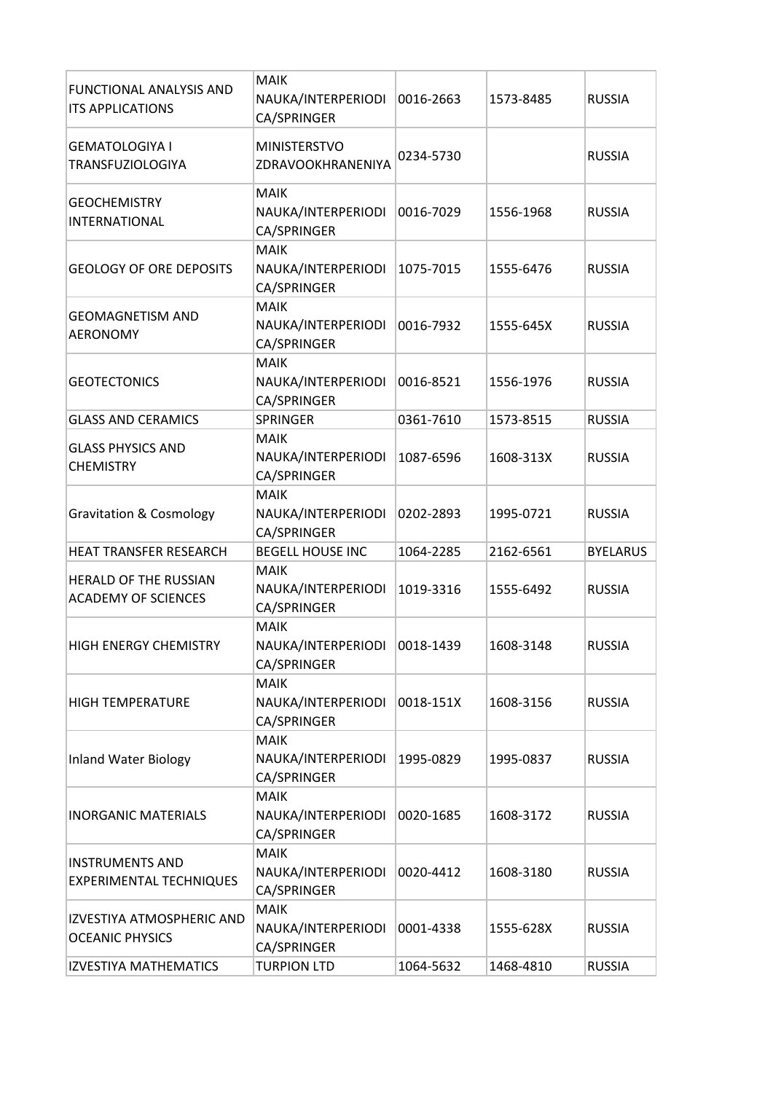| <b>FUNCTIONAL ANALYSIS AND</b><br><b>ITS APPLICATIONS</b> | <b>MAIK</b><br>NAUKA/INTERPERIODI<br>CA/SPRINGER | 0016-2663 | 1573-8485 | <b>RUSSIA</b>   |
|-----------------------------------------------------------|--------------------------------------------------|-----------|-----------|-----------------|
| <b>GEMATOLOGIYA I</b><br><b>TRANSFUZIOLOGIYA</b>          | <b>MINISTERSTVO</b><br>ZDRAVOOKHRANENIYA         | 0234-5730 |           | <b>RUSSIA</b>   |
| <b>GEOCHEMISTRY</b><br><b>INTERNATIONAL</b>               | <b>MAIK</b><br>NAUKA/INTERPERIODI<br>CA/SPRINGER | 0016-7029 | 1556-1968 | <b>RUSSIA</b>   |
| <b>GEOLOGY OF ORE DEPOSITS</b>                            | <b>MAIK</b><br>NAUKA/INTERPERIODI<br>CA/SPRINGER | 1075-7015 | 1555-6476 | <b>RUSSIA</b>   |
| <b>GEOMAGNETISM AND</b><br><b>AERONOMY</b>                | <b>MAIK</b><br>NAUKA/INTERPERIODI<br>CA/SPRINGER | 0016-7932 | 1555-645X | <b>RUSSIA</b>   |
| <b>GEOTECTONICS</b>                                       | <b>MAIK</b><br>NAUKA/INTERPERIODI<br>CA/SPRINGER | 0016-8521 | 1556-1976 | <b>RUSSIA</b>   |
| <b>GLASS AND CERAMICS</b>                                 | <b>SPRINGER</b>                                  | 0361-7610 | 1573-8515 | <b>RUSSIA</b>   |
| <b>GLASS PHYSICS AND</b><br><b>CHEMISTRY</b>              | <b>MAIK</b><br>NAUKA/INTERPERIODI<br>CA/SPRINGER | 1087-6596 | 1608-313X | <b>RUSSIA</b>   |
| <b>Gravitation &amp; Cosmology</b>                        | <b>MAIK</b><br>NAUKA/INTERPERIODI<br>CA/SPRINGER | 0202-2893 | 1995-0721 | <b>RUSSIA</b>   |
| <b>HEAT TRANSFER RESEARCH</b>                             | <b>BEGELL HOUSE INC</b>                          | 1064-2285 | 2162-6561 | <b>BYELARUS</b> |
| HERALD OF THE RUSSIAN<br><b>ACADEMY OF SCIENCES</b>       | <b>MAIK</b><br>NAUKA/INTERPERIODI<br>CA/SPRINGER | 1019-3316 | 1555-6492 | <b>RUSSIA</b>   |
| HIGH ENERGY CHEMISTRY                                     | <b>MAIK</b><br>NAUKA/INTERPERIODI<br>CA/SPRINGER | 0018-1439 | 1608-3148 | <b>RUSSIA</b>   |
| <b>HIGH TEMPERATURE</b>                                   | <b>MAIK</b><br>NAUKA/INTERPERIODI<br>CA/SPRINGER | 0018-151X | 1608-3156 | <b>RUSSIA</b>   |
| Inland Water Biology                                      | <b>MAIK</b><br>NAUKA/INTERPERIODI<br>CA/SPRINGER | 1995-0829 | 1995-0837 | <b>RUSSIA</b>   |
| <b>INORGANIC MATERIALS</b>                                | <b>MAIK</b><br>NAUKA/INTERPERIODI<br>CA/SPRINGER | 0020-1685 | 1608-3172 | <b>RUSSIA</b>   |
| <b>INSTRUMENTS AND</b><br><b>EXPERIMENTAL TECHNIQUES</b>  | <b>MAIK</b><br>NAUKA/INTERPERIODI<br>CA/SPRINGER | 0020-4412 | 1608-3180 | <b>RUSSIA</b>   |
| IZVESTIYA ATMOSPHERIC AND<br><b>OCEANIC PHYSICS</b>       | <b>MAIK</b><br>NAUKA/INTERPERIODI<br>CA/SPRINGER | 0001-4338 | 1555-628X | <b>RUSSIA</b>   |
| <b>IZVESTIYA MATHEMATICS</b>                              | <b>TURPION LTD</b>                               | 1064-5632 | 1468-4810 | <b>RUSSIA</b>   |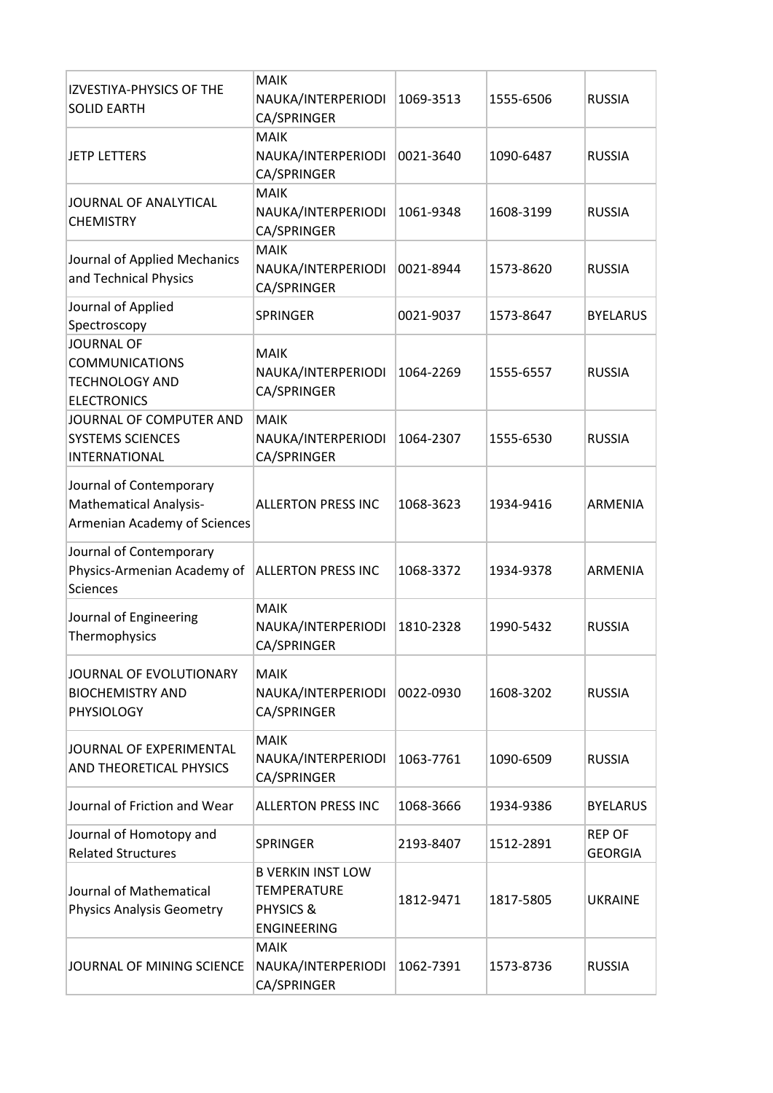| IZVESTIYA-PHYSICS OF THE<br><b>SOLID EARTH</b>                                            | <b>MAIK</b><br>NAUKA/INTERPERIODI<br>CA/SPRINGER                                  | 1069-3513 | 1555-6506 | <b>RUSSIA</b>                   |
|-------------------------------------------------------------------------------------------|-----------------------------------------------------------------------------------|-----------|-----------|---------------------------------|
| <b>JETP LETTERS</b>                                                                       | <b>MAIK</b><br>NAUKA/INTERPERIODI<br>CA/SPRINGER                                  | 0021-3640 | 1090-6487 | <b>RUSSIA</b>                   |
| JOURNAL OF ANALYTICAL<br><b>CHEMISTRY</b>                                                 | <b>MAIK</b><br>NAUKA/INTERPERIODI<br>CA/SPRINGER                                  | 1061-9348 | 1608-3199 | <b>RUSSIA</b>                   |
| Journal of Applied Mechanics<br>and Technical Physics                                     | <b>MAIK</b><br>NAUKA/INTERPERIODI<br>CA/SPRINGER                                  | 0021-8944 | 1573-8620 | <b>RUSSIA</b>                   |
| Journal of Applied<br>Spectroscopy                                                        | <b>SPRINGER</b>                                                                   | 0021-9037 | 1573-8647 | <b>BYELARUS</b>                 |
| <b>JOURNAL OF</b><br><b>COMMUNICATIONS</b><br><b>TECHNOLOGY AND</b><br><b>ELECTRONICS</b> | <b>MAIK</b><br>NAUKA/INTERPERIODI<br>CA/SPRINGER                                  | 1064-2269 | 1555-6557 | <b>RUSSIA</b>                   |
| JOURNAL OF COMPUTER AND<br><b>SYSTEMS SCIENCES</b><br>INTERNATIONAL                       | <b>MAIK</b><br>NAUKA/INTERPERIODI<br>CA/SPRINGER                                  | 1064-2307 | 1555-6530 | <b>RUSSIA</b>                   |
| Journal of Contemporary<br><b>Mathematical Analysis-</b><br>Armenian Academy of Sciences  | <b>ALLERTON PRESS INC</b>                                                         | 1068-3623 | 1934-9416 | <b>ARMENIA</b>                  |
| Journal of Contemporary<br>Physics-Armenian Academy of<br><b>Sciences</b>                 | <b>ALLERTON PRESS INC</b>                                                         | 1068-3372 | 1934-9378 | <b>ARMENIA</b>                  |
| Journal of Engineering<br>Thermophysics                                                   | <b>MAIK</b><br>NAUKA/INTERPERIODI<br>CA/SPRINGER                                  | 1810-2328 | 1990-5432 | <b>RUSSIA</b>                   |
| JOURNAL OF EVOLUTIONARY<br><b>BIOCHEMISTRY AND</b><br><b>PHYSIOLOGY</b>                   | <b>MAIK</b><br>NAUKA/INTERPERIODI<br>CA/SPRINGER                                  | 0022-0930 | 1608-3202 | <b>RUSSIA</b>                   |
| JOURNAL OF EXPERIMENTAL<br>AND THEORETICAL PHYSICS                                        | <b>MAIK</b><br>NAUKA/INTERPERIODI<br>CA/SPRINGER                                  | 1063-7761 | 1090-6509 | <b>RUSSIA</b>                   |
| Journal of Friction and Wear                                                              | <b>ALLERTON PRESS INC</b>                                                         | 1068-3666 | 1934-9386 | <b>BYELARUS</b>                 |
| Journal of Homotopy and<br><b>Related Structures</b>                                      | <b>SPRINGER</b>                                                                   | 2193-8407 | 1512-2891 | <b>REP OF</b><br><b>GEORGIA</b> |
| Journal of Mathematical<br><b>Physics Analysis Geometry</b>                               | <b>B VERKIN INST LOW</b><br><b>TEMPERATURE</b><br>PHYSICS &<br><b>ENGINEERING</b> | 1812-9471 | 1817-5805 | <b>UKRAINE</b>                  |
| JOURNAL OF MINING SCIENCE                                                                 | <b>MAIK</b><br>NAUKA/INTERPERIODI<br>CA/SPRINGER                                  | 1062-7391 | 1573-8736 | <b>RUSSIA</b>                   |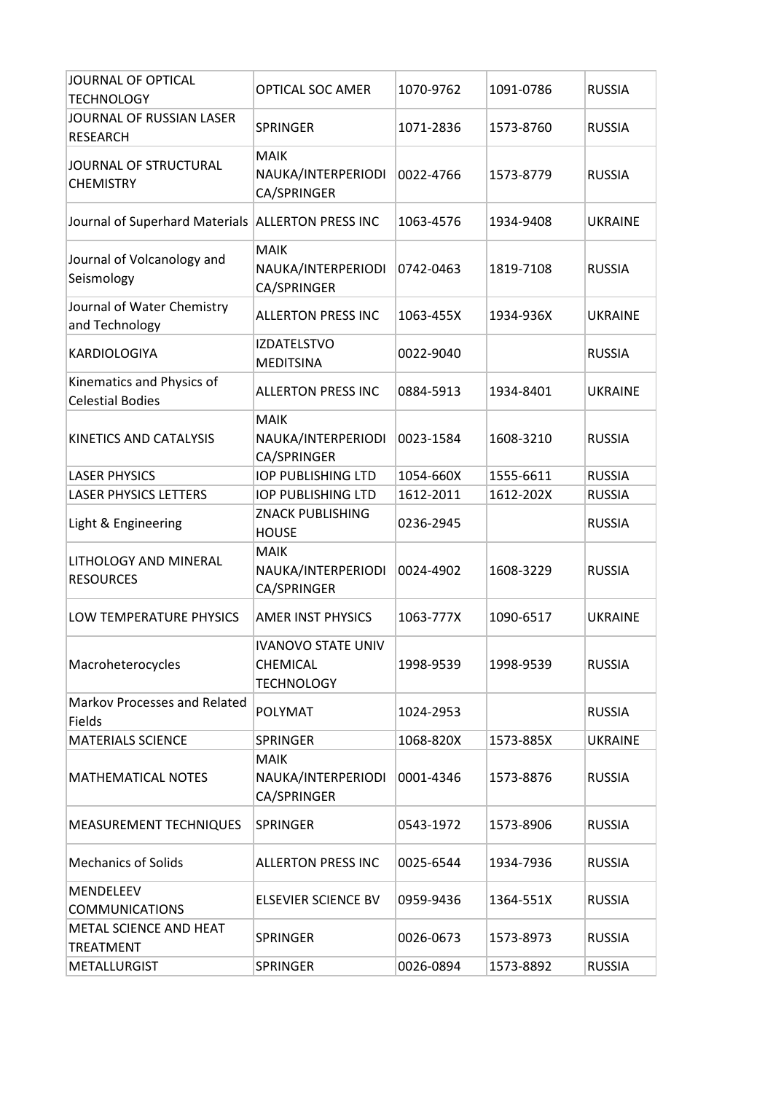| JOURNAL OF OPTICAL<br><b>TECHNOLOGY</b>              | <b>OPTICAL SOC AMER</b>                                           | 1070-9762 | 1091-0786 | <b>RUSSIA</b>  |
|------------------------------------------------------|-------------------------------------------------------------------|-----------|-----------|----------------|
| JOURNAL OF RUSSIAN LASER<br><b>RESEARCH</b>          | <b>SPRINGER</b>                                                   | 1071-2836 | 1573-8760 | <b>RUSSIA</b>  |
| JOURNAL OF STRUCTURAL<br><b>CHEMISTRY</b>            | <b>MAIK</b><br>NAUKA/INTERPERIODI<br>CA/SPRINGER                  | 0022-4766 | 1573-8779 | <b>RUSSIA</b>  |
| Journal of Superhard Materials   ALLERTON PRESS INC  |                                                                   | 1063-4576 | 1934-9408 | <b>UKRAINE</b> |
| Journal of Volcanology and<br>Seismology             | <b>MAIK</b><br>NAUKA/INTERPERIODI<br>CA/SPRINGER                  | 0742-0463 | 1819-7108 | <b>RUSSIA</b>  |
| Journal of Water Chemistry<br>and Technology         | <b>ALLERTON PRESS INC</b>                                         | 1063-455X | 1934-936X | <b>UKRAINE</b> |
| <b>KARDIOLOGIYA</b>                                  | <b>IZDATELSTVO</b><br><b>MEDITSINA</b>                            | 0022-9040 |           | <b>RUSSIA</b>  |
| Kinematics and Physics of<br><b>Celestial Bodies</b> | <b>ALLERTON PRESS INC</b>                                         | 0884-5913 | 1934-8401 | <b>UKRAINE</b> |
| KINETICS AND CATALYSIS                               | <b>MAIK</b><br>NAUKA/INTERPERIODI<br>CA/SPRINGER                  | 0023-1584 | 1608-3210 | <b>RUSSIA</b>  |
| <b>LASER PHYSICS</b>                                 | <b>IOP PUBLISHING LTD</b>                                         | 1054-660X | 1555-6611 | <b>RUSSIA</b>  |
| <b>LASER PHYSICS LETTERS</b>                         | <b>IOP PUBLISHING LTD</b>                                         | 1612-2011 | 1612-202X | <b>RUSSIA</b>  |
| Light & Engineering                                  | <b>ZNACK PUBLISHING</b><br><b>HOUSE</b>                           | 0236-2945 |           | <b>RUSSIA</b>  |
| LITHOLOGY AND MINERAL<br><b>RESOURCES</b>            | <b>MAIK</b><br>NAUKA/INTERPERIODI<br>CA/SPRINGER                  | 0024-4902 | 1608-3229 | <b>RUSSIA</b>  |
| LOW TEMPERATURE PHYSICS                              | <b>AMER INST PHYSICS</b>                                          | 1063-777X | 1090-6517 | <b>UKRAINE</b> |
| Macroheterocycles                                    | <b>IVANOVO STATE UNIV</b><br><b>CHEMICAL</b><br><b>TECHNOLOGY</b> | 1998-9539 | 1998-9539 | <b>RUSSIA</b>  |
| Markov Processes and Related<br>Fields               | <b>POLYMAT</b>                                                    | 1024-2953 |           | <b>RUSSIA</b>  |
| <b>MATERIALS SCIENCE</b>                             | <b>SPRINGER</b>                                                   | 1068-820X | 1573-885X | <b>UKRAINE</b> |
| <b>MATHEMATICAL NOTES</b>                            | <b>MAIK</b><br>NAUKA/INTERPERIODI<br>CA/SPRINGER                  | 0001-4346 | 1573-8876 | <b>RUSSIA</b>  |
| MEASUREMENT TECHNIQUES                               | <b>SPRINGER</b>                                                   | 0543-1972 | 1573-8906 | <b>RUSSIA</b>  |
| <b>Mechanics of Solids</b>                           | <b>ALLERTON PRESS INC</b>                                         | 0025-6544 | 1934-7936 | <b>RUSSIA</b>  |
| MENDELEEV                                            |                                                                   |           |           |                |
| <b>COMMUNICATIONS</b>                                | <b>ELSEVIER SCIENCE BV</b>                                        | 0959-9436 | 1364-551X | <b>RUSSIA</b>  |
| METAL SCIENCE AND HEAT                               |                                                                   |           |           |                |
| <b>TREATMENT</b>                                     | <b>SPRINGER</b>                                                   | 0026-0673 | 1573-8973 | <b>RUSSIA</b>  |
| <b>METALLURGIST</b>                                  | <b>SPRINGER</b>                                                   | 0026-0894 | 1573-8892 | <b>RUSSIA</b>  |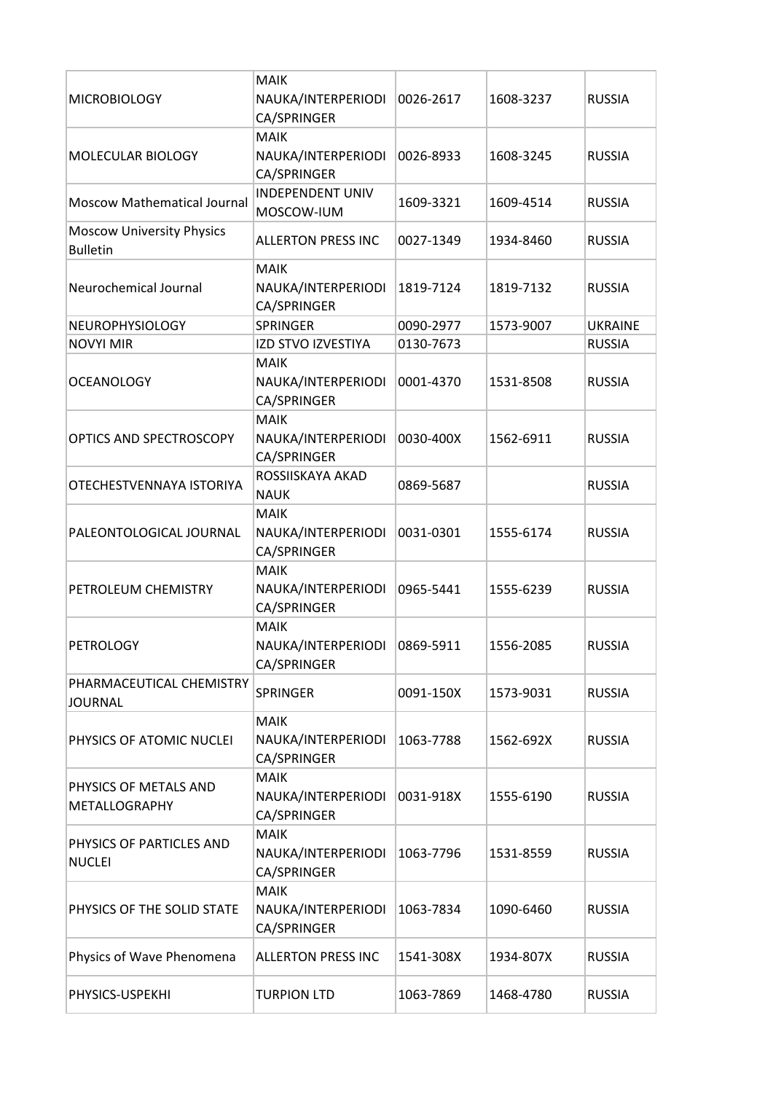| <b>MICROBIOLOGY</b>                                 | <b>MAIK</b><br>NAUKA/INTERPERIODI                               | 0026-2617 | 1608-3237 | <b>RUSSIA</b>  |
|-----------------------------------------------------|-----------------------------------------------------------------|-----------|-----------|----------------|
| MOLECULAR BIOLOGY                                   | CA/SPRINGER<br><b>MAIK</b><br>NAUKA/INTERPERIODI<br>CA/SPRINGER | 0026-8933 | 1608-3245 | <b>RUSSIA</b>  |
| <b>Moscow Mathematical Journal</b>                  | <b>INDEPENDENT UNIV</b><br>MOSCOW-IUM                           | 1609-3321 | 1609-4514 | <b>RUSSIA</b>  |
| <b>Moscow University Physics</b><br><b>Bulletin</b> | <b>ALLERTON PRESS INC</b>                                       | 0027-1349 | 1934-8460 | <b>RUSSIA</b>  |
| Neurochemical Journal                               | <b>MAIK</b><br>NAUKA/INTERPERIODI<br>CA/SPRINGER                | 1819-7124 | 1819-7132 | <b>RUSSIA</b>  |
| <b>NEUROPHYSIOLOGY</b>                              | <b>SPRINGER</b>                                                 | 0090-2977 | 1573-9007 | <b>UKRAINE</b> |
| <b>NOVYI MIR</b>                                    | <b>IZD STVO IZVESTIYA</b>                                       | 0130-7673 |           | <b>RUSSIA</b>  |
| <b>OCEANOLOGY</b>                                   | <b>MAIK</b><br>NAUKA/INTERPERIODI<br>CA/SPRINGER                | 0001-4370 | 1531-8508 | <b>RUSSIA</b>  |
| OPTICS AND SPECTROSCOPY                             | <b>MAIK</b><br>NAUKA/INTERPERIODI<br>CA/SPRINGER                | 0030-400X | 1562-6911 | <b>RUSSIA</b>  |
| OTECHESTVENNAYA ISTORIYA                            | ROSSIISKAYA AKAD<br><b>NAUK</b>                                 | 0869-5687 |           | <b>RUSSIA</b>  |
| PALEONTOLOGICAL JOURNAL                             | <b>MAIK</b><br>NAUKA/INTERPERIODI<br>CA/SPRINGER                | 0031-0301 | 1555-6174 | <b>RUSSIA</b>  |
| PETROLEUM CHEMISTRY                                 | <b>MAIK</b><br>NAUKA/INTERPERIODI<br>CA/SPRINGER                | 0965-5441 | 1555-6239 | <b>RUSSIA</b>  |
| <b>PETROLOGY</b>                                    | <b>MAIK</b><br>NAUKA/INTERPERIODI<br>CA/SPRINGER                | 0869-5911 | 1556-2085 | <b>RUSSIA</b>  |
| PHARMACEUTICAL CHEMISTRY<br><b>JOURNAL</b>          | <b>SPRINGER</b>                                                 | 0091-150X | 1573-9031 | <b>RUSSIA</b>  |
| PHYSICS OF ATOMIC NUCLEI                            | <b>MAIK</b><br>NAUKA/INTERPERIODI<br>CA/SPRINGER                | 1063-7788 | 1562-692X | <b>RUSSIA</b>  |
| PHYSICS OF METALS AND<br><b>METALLOGRAPHY</b>       | <b>MAIK</b><br>NAUKA/INTERPERIODI<br>CA/SPRINGER                | 0031-918X | 1555-6190 | <b>RUSSIA</b>  |
| PHYSICS OF PARTICLES AND<br><b>NUCLEI</b>           | <b>MAIK</b><br>NAUKA/INTERPERIODI<br>CA/SPRINGER                | 1063-7796 | 1531-8559 | <b>RUSSIA</b>  |
| PHYSICS OF THE SOLID STATE                          | <b>MAIK</b><br>NAUKA/INTERPERIODI<br>CA/SPRINGER                | 1063-7834 | 1090-6460 | <b>RUSSIA</b>  |
| Physics of Wave Phenomena                           | <b>ALLERTON PRESS INC</b>                                       | 1541-308X | 1934-807X | <b>RUSSIA</b>  |
| PHYSICS-USPEKHI                                     | <b>TURPION LTD</b>                                              | 1063-7869 | 1468-4780 | <b>RUSSIA</b>  |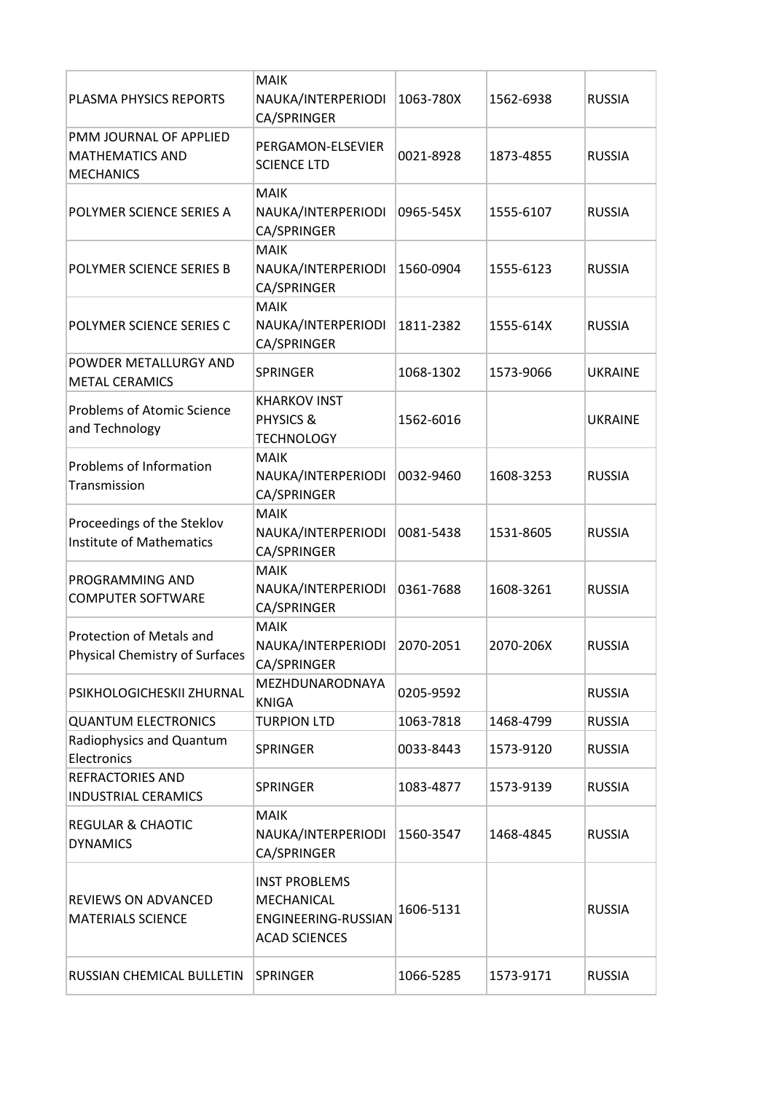| PLASMA PHYSICS REPORTS                                               | <b>MAIK</b><br>NAUKA/INTERPERIODI<br>CA/SPRINGER                                  | 1063-780X | 1562-6938 | <b>RUSSIA</b>  |
|----------------------------------------------------------------------|-----------------------------------------------------------------------------------|-----------|-----------|----------------|
| PMM JOURNAL OF APPLIED<br><b>MATHEMATICS AND</b><br><b>MECHANICS</b> | PERGAMON-ELSEVIER<br><b>SCIENCE LTD</b>                                           | 0021-8928 | 1873-4855 | <b>RUSSIA</b>  |
| POLYMER SCIENCE SERIES A                                             | <b>MAIK</b><br>NAUKA/INTERPERIODI<br>CA/SPRINGER                                  | 0965-545X | 1555-6107 | <b>RUSSIA</b>  |
| POLYMER SCIENCE SERIES B                                             | <b>MAIK</b><br>NAUKA/INTERPERIODI<br>CA/SPRINGER                                  | 1560-0904 | 1555-6123 | <b>RUSSIA</b>  |
| POLYMER SCIENCE SERIES C                                             | <b>MAIK</b><br>NAUKA/INTERPERIODI<br>CA/SPRINGER                                  | 1811-2382 | 1555-614X | <b>RUSSIA</b>  |
| POWDER METALLURGY AND<br><b>METAL CERAMICS</b>                       | <b>SPRINGER</b>                                                                   | 1068-1302 | 1573-9066 | <b>UKRAINE</b> |
| <b>Problems of Atomic Science</b><br>and Technology                  | <b>KHARKOV INST</b><br>PHYSICS &<br><b>TECHNOLOGY</b>                             | 1562-6016 |           | <b>UKRAINE</b> |
| Problems of Information<br>Transmission                              | <b>MAIK</b><br>NAUKA/INTERPERIODI<br>CA/SPRINGER                                  | 0032-9460 | 1608-3253 | <b>RUSSIA</b>  |
| Proceedings of the Steklov<br><b>Institute of Mathematics</b>        | <b>MAIK</b><br>NAUKA/INTERPERIODI<br>CA/SPRINGER                                  | 0081-5438 | 1531-8605 | <b>RUSSIA</b>  |
| PROGRAMMING AND<br><b>COMPUTER SOFTWARE</b>                          | <b>MAIK</b><br>NAUKA/INTERPERIODI<br>CA/SPRINGER                                  | 0361-7688 | 1608-3261 | <b>RUSSIA</b>  |
| Protection of Metals and<br><b>Physical Chemistry of Surfaces</b>    | <b>MAIK</b><br>NAUKA/INTERPERIODI<br>CA/SPRINGER                                  | 2070-2051 | 2070-206X | <b>RUSSIA</b>  |
| PSIKHOLOGICHESKII ZHURNAL                                            | MEZHDUNARODNAYA<br><b>KNIGA</b>                                                   | 0205-9592 |           | <b>RUSSIA</b>  |
| <b>QUANTUM ELECTRONICS</b>                                           | <b>TURPION LTD</b>                                                                | 1063-7818 | 1468-4799 | <b>RUSSIA</b>  |
| Radiophysics and Quantum<br>Electronics                              | <b>SPRINGER</b>                                                                   | 0033-8443 | 1573-9120 | <b>RUSSIA</b>  |
| <b>REFRACTORIES AND</b><br><b>INDUSTRIAL CERAMICS</b>                | <b>SPRINGER</b>                                                                   | 1083-4877 | 1573-9139 | <b>RUSSIA</b>  |
| <b>REGULAR &amp; CHAOTIC</b><br><b>DYNAMICS</b>                      | <b>MAIK</b><br>NAUKA/INTERPERIODI<br>CA/SPRINGER                                  | 1560-3547 | 1468-4845 | <b>RUSSIA</b>  |
| REVIEWS ON ADVANCED<br><b>MATERIALS SCIENCE</b>                      | <b>INST PROBLEMS</b><br>MECHANICAL<br>ENGINEERING-RUSSIAN<br><b>ACAD SCIENCES</b> | 1606-5131 |           | <b>RUSSIA</b>  |
| RUSSIAN CHEMICAL BULLETIN                                            | <b>SPRINGER</b>                                                                   | 1066-5285 | 1573-9171 | <b>RUSSIA</b>  |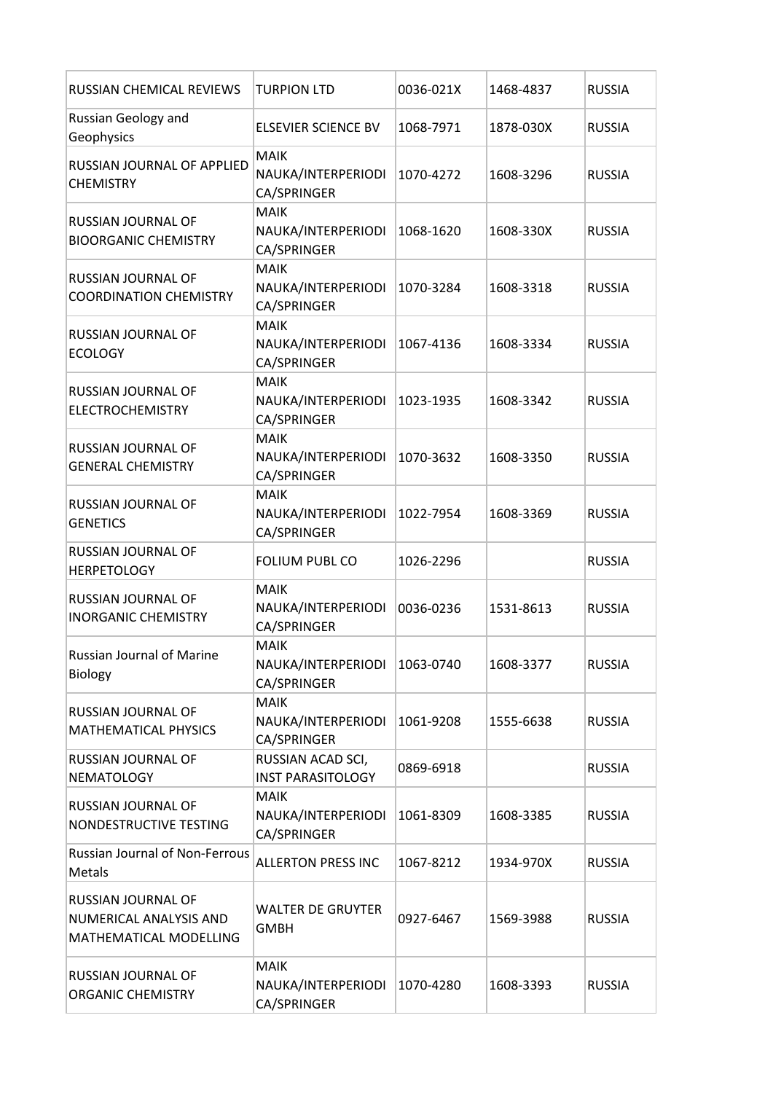| <b>RUSSIAN CHEMICAL REVIEWS</b>                                        | <b>TURPION LTD</b>                               | 0036-021X | 1468-4837 | <b>RUSSIA</b> |
|------------------------------------------------------------------------|--------------------------------------------------|-----------|-----------|---------------|
| Russian Geology and<br>Geophysics                                      | <b>ELSEVIER SCIENCE BV</b>                       | 1068-7971 | 1878-030X | <b>RUSSIA</b> |
| RUSSIAN JOURNAL OF APPLIED<br><b>CHEMISTRY</b>                         | <b>MAIK</b><br>NAUKA/INTERPERIODI<br>CA/SPRINGER | 1070-4272 | 1608-3296 | <b>RUSSIA</b> |
| RUSSIAN JOURNAL OF<br><b>BIOORGANIC CHEMISTRY</b>                      | <b>MAIK</b><br>NAUKA/INTERPERIODI<br>CA/SPRINGER | 1068-1620 | 1608-330X | <b>RUSSIA</b> |
| RUSSIAN JOURNAL OF<br><b>COORDINATION CHEMISTRY</b>                    | <b>MAIK</b><br>NAUKA/INTERPERIODI<br>CA/SPRINGER | 1070-3284 | 1608-3318 | <b>RUSSIA</b> |
| RUSSIAN JOURNAL OF<br><b>ECOLOGY</b>                                   | <b>MAIK</b><br>NAUKA/INTERPERIODI<br>CA/SPRINGER | 1067-4136 | 1608-3334 | <b>RUSSIA</b> |
| RUSSIAN JOURNAL OF<br><b>ELECTROCHEMISTRY</b>                          | <b>MAIK</b><br>NAUKA/INTERPERIODI<br>CA/SPRINGER | 1023-1935 | 1608-3342 | <b>RUSSIA</b> |
| <b>RUSSIAN JOURNAL OF</b><br><b>GENERAL CHEMISTRY</b>                  | <b>MAIK</b><br>NAUKA/INTERPERIODI<br>CA/SPRINGER | 1070-3632 | 1608-3350 | <b>RUSSIA</b> |
| RUSSIAN JOURNAL OF<br><b>GENETICS</b>                                  | <b>MAIK</b><br>NAUKA/INTERPERIODI<br>CA/SPRINGER | 1022-7954 | 1608-3369 | <b>RUSSIA</b> |
| RUSSIAN JOURNAL OF<br><b>HERPETOLOGY</b>                               | <b>FOLIUM PUBL CO</b>                            | 1026-2296 |           | <b>RUSSIA</b> |
| RUSSIAN JOURNAL OF<br><b>INORGANIC CHEMISTRY</b>                       | <b>MAIK</b><br>NAUKA/INTERPERIODI<br>CA/SPRINGER | 0036-0236 | 1531-8613 | <b>RUSSIA</b> |
| Russian Journal of Marine<br>Biology                                   | <b>MAIK</b><br>NAUKA/INTERPERIODI<br>CA/SPRINGER | 1063-0740 | 1608-3377 | <b>RUSSIA</b> |
| RUSSIAN JOURNAL OF<br><b>MATHEMATICAL PHYSICS</b>                      | <b>MAIK</b><br>NAUKA/INTERPERIODI<br>CA/SPRINGER | 1061-9208 | 1555-6638 | <b>RUSSIA</b> |
| RUSSIAN JOURNAL OF<br><b>NEMATOLOGY</b>                                | RUSSIAN ACAD SCI,<br><b>INST PARASITOLOGY</b>    | 0869-6918 |           | <b>RUSSIA</b> |
| RUSSIAN JOURNAL OF<br>NONDESTRUCTIVE TESTING                           | <b>MAIK</b><br>NAUKA/INTERPERIODI<br>CA/SPRINGER | 1061-8309 | 1608-3385 | <b>RUSSIA</b> |
| Russian Journal of Non-Ferrous<br>Metals                               | <b>ALLERTON PRESS INC</b>                        | 1067-8212 | 1934-970X | <b>RUSSIA</b> |
| RUSSIAN JOURNAL OF<br>NUMERICAL ANALYSIS AND<br>MATHEMATICAL MODELLING | <b>WALTER DE GRUYTER</b><br><b>GMBH</b>          | 0927-6467 | 1569-3988 | <b>RUSSIA</b> |
| RUSSIAN JOURNAL OF<br><b>ORGANIC CHEMISTRY</b>                         | <b>MAIK</b><br>NAUKA/INTERPERIODI<br>CA/SPRINGER | 1070-4280 | 1608-3393 | <b>RUSSIA</b> |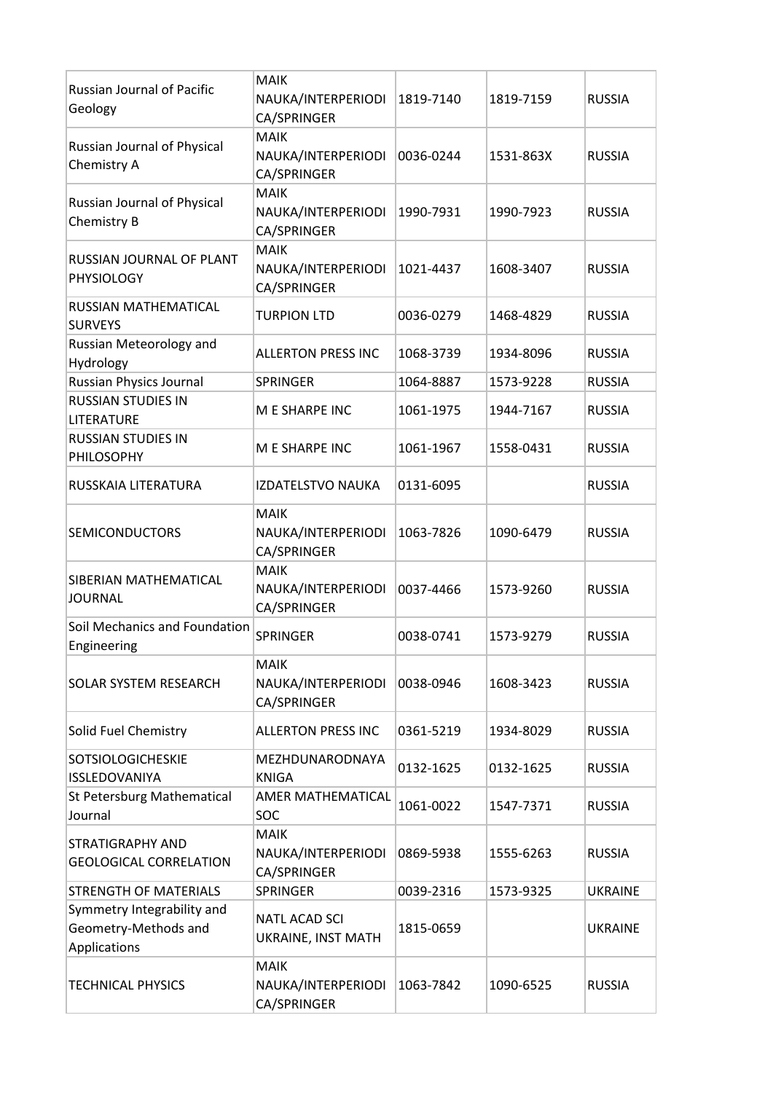| Russian Journal of Pacific<br>Geology                              | <b>MAIK</b><br>NAUKA/INTERPERIODI<br>CA/SPRINGER | 1819-7140 | 1819-7159 | <b>RUSSIA</b>  |
|--------------------------------------------------------------------|--------------------------------------------------|-----------|-----------|----------------|
| Russian Journal of Physical<br>Chemistry A                         | <b>MAIK</b><br>NAUKA/INTERPERIODI<br>CA/SPRINGER | 0036-0244 | 1531-863X | <b>RUSSIA</b>  |
| Russian Journal of Physical<br>Chemistry B                         | <b>MAIK</b><br>NAUKA/INTERPERIODI<br>CA/SPRINGER | 1990-7931 | 1990-7923 | <b>RUSSIA</b>  |
| RUSSIAN JOURNAL OF PLANT<br><b>PHYSIOLOGY</b>                      | <b>MAIK</b><br>NAUKA/INTERPERIODI<br>CA/SPRINGER | 1021-4437 | 1608-3407 | <b>RUSSIA</b>  |
| RUSSIAN MATHEMATICAL<br><b>SURVEYS</b>                             | <b>TURPION LTD</b>                               | 0036-0279 | 1468-4829 | <b>RUSSIA</b>  |
| Russian Meteorology and<br>Hydrology                               | <b>ALLERTON PRESS INC</b>                        | 1068-3739 | 1934-8096 | <b>RUSSIA</b>  |
| <b>Russian Physics Journal</b>                                     | <b>SPRINGER</b>                                  | 1064-8887 | 1573-9228 | <b>RUSSIA</b>  |
| <b>RUSSIAN STUDIES IN</b><br><b>LITERATURE</b>                     | M E SHARPE INC                                   | 1061-1975 | 1944-7167 | <b>RUSSIA</b>  |
| <b>RUSSIAN STUDIES IN</b><br><b>PHILOSOPHY</b>                     | M E SHARPE INC                                   | 1061-1967 | 1558-0431 | <b>RUSSIA</b>  |
| RUSSKAIA LITERATURA                                                | <b>IZDATELSTVO NAUKA</b>                         | 0131-6095 |           | <b>RUSSIA</b>  |
| <b>SEMICONDUCTORS</b>                                              | <b>MAIK</b><br>NAUKA/INTERPERIODI<br>CA/SPRINGER | 1063-7826 | 1090-6479 | <b>RUSSIA</b>  |
| SIBERIAN MATHEMATICAL<br><b>JOURNAL</b>                            | <b>MAIK</b><br>NAUKA/INTERPERIODI<br>CA/SPRINGER | 0037-4466 | 1573-9260 | <b>RUSSIA</b>  |
| Soil Mechanics and Foundation<br>Engineering                       | <b>SPRINGER</b>                                  | 0038-0741 | 1573-9279 | <b>RUSSIA</b>  |
| SOLAR SYSTEM RESEARCH                                              | <b>MAIK</b><br>NAUKA/INTERPERIODI<br>CA/SPRINGER | 0038-0946 | 1608-3423 | <b>RUSSIA</b>  |
| Solid Fuel Chemistry                                               | <b>ALLERTON PRESS INC</b>                        | 0361-5219 | 1934-8029 | <b>RUSSIA</b>  |
| <b>SOTSIOLOGICHESKIE</b><br>ISSLEDOVANIYA                          | MEZHDUNARODNAYA<br><b>KNIGA</b>                  | 0132-1625 | 0132-1625 | <b>RUSSIA</b>  |
| St Petersburg Mathematical<br>Journal                              | AMER MATHEMATICAL<br>SOC                         | 1061-0022 | 1547-7371 | <b>RUSSIA</b>  |
| STRATIGRAPHY AND<br><b>GEOLOGICAL CORRELATION</b>                  | <b>MAIK</b><br>NAUKA/INTERPERIODI<br>CA/SPRINGER | 0869-5938 | 1555-6263 | <b>RUSSIA</b>  |
| <b>STRENGTH OF MATERIALS</b>                                       | <b>SPRINGER</b>                                  | 0039-2316 | 1573-9325 | <b>UKRAINE</b> |
| Symmetry Integrability and<br>Geometry-Methods and<br>Applications | <b>NATL ACAD SCI</b><br>UKRAINE, INST MATH       | 1815-0659 |           | <b>UKRAINE</b> |
| <b>TECHNICAL PHYSICS</b>                                           | <b>MAIK</b><br>NAUKA/INTERPERIODI<br>CA/SPRINGER | 1063-7842 | 1090-6525 | <b>RUSSIA</b>  |